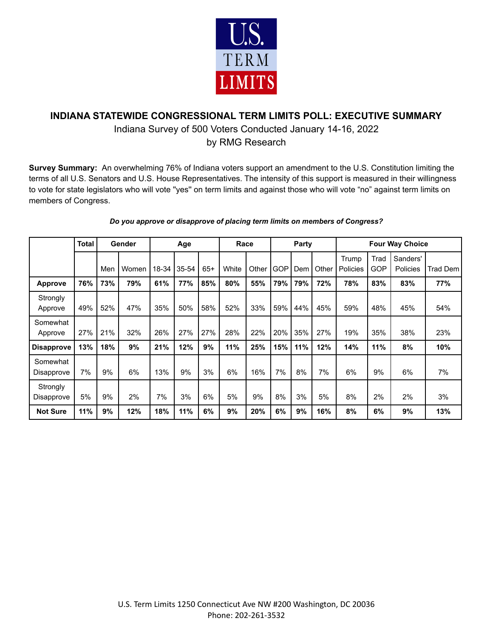

## **INDIANA STATEWIDE CONGRESSIONAL TERM LIMITS POLL: EXECUTIVE SUMMARY**

## Indiana Survey of 500 Voters Conducted January 14-16, 2022

by RMG Research

**Survey Summary:** An overwhelming 76% of Indiana voters support an amendment to the U.S. Constitution limiting the terms of all U.S. Senators and U.S. House Representatives. The intensity of this support is measured in their willingness to vote for state legislators who will vote ''yes'' on term limits and against those who will vote "no" against term limits on members of Congress.

|                        | <b>Total</b> | Gender |       |       | Age   |       | Race  |       | Party      |     |       | <b>Four Way Choice</b> |             |                      |          |  |
|------------------------|--------------|--------|-------|-------|-------|-------|-------|-------|------------|-----|-------|------------------------|-------------|----------------------|----------|--|
|                        |              | Men    | Women | 18-34 | 35-54 | $65+$ | White | Other | <b>GOP</b> | Dem | Other | Trump<br>Policies      | Trad<br>GOP | Sanders'<br>Policies | Trad Dem |  |
| Approve                | 76%          | 73%    | 79%   | 61%   | 77%   | 85%   | 80%   | 55%   | 79%        | 79% | 72%   | 78%                    | 83%         | 83%                  | 77%      |  |
| Strongly<br>Approve    | 49%          | 52%    | 47%   | 35%   | 50%   | 58%   | 52%   | 33%   | 59%        | 44% | 45%   | 59%                    | 48%         | 45%                  | 54%      |  |
| Somewhat<br>Approve    | 27%          | 21%    | 32%   | 26%   | 27%   | 27%   | 28%   | 22%   | 20%        | 35% | 27%   | 19%                    | 35%         | 38%                  | 23%      |  |
| <b>Disapprove</b>      | 13%          | 18%    | 9%    | 21%   | 12%   | 9%    | 11%   | 25%   | 15%        | 11% | 12%   | 14%                    | 11%         | 8%                   | 10%      |  |
| Somewhat<br>Disapprove | 7%           | 9%     | 6%    | 13%   | 9%    | 3%    | 6%    | 16%   | 7%         | 8%  | 7%    | 6%                     | 9%          | 6%                   | 7%       |  |
| Strongly<br>Disapprove | 5%           | 9%     | 2%    | 7%    | 3%    | 6%    | 5%    | 9%    | 8%         | 3%  | 5%    | 8%                     | 2%          | 2%                   | 3%       |  |
| <b>Not Sure</b>        | 11%          | 9%     | 12%   | 18%   | 11%   | 6%    | 9%    | 20%   | 6%         | 9%  | 16%   | 8%                     | 6%          | 9%                   | 13%      |  |

## *Do you approve or disapprove of placing term limits on members of Congress?*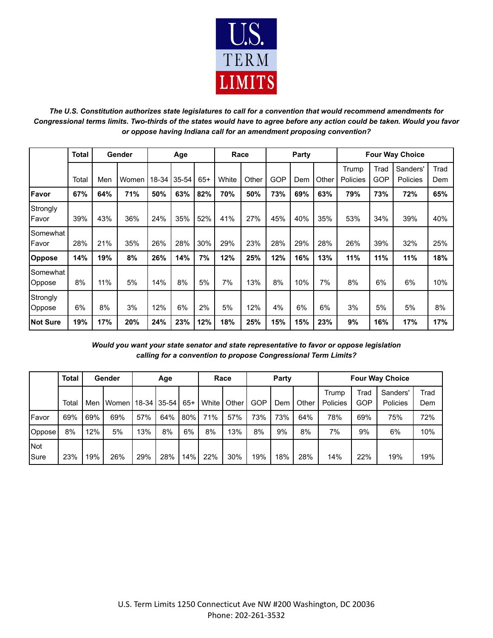

*The U.S. Constitution authorizes state legislatures to call for a convention that would recommend amendments for Congressional terms limits. Two-thirds of the states would have to agree before any action could be taken. Would you favor or oppose having Indiana call for an amendment proposing convention?*

|                    | <b>Total</b> | Gender |       | Age   |       |       | Race  |       | <b>Party</b> |     |       | <b>Four Way Choice</b> |             |                      |             |
|--------------------|--------------|--------|-------|-------|-------|-------|-------|-------|--------------|-----|-------|------------------------|-------------|----------------------|-------------|
|                    | Total        | Men    | Women | 18-34 | 35-54 | $65+$ | White | Other | <b>GOP</b>   | Dem | Other | Trump<br>Policies      | Trad<br>GOP | Sanders'<br>Policies | Trad<br>Dem |
| Favor              | 67%          | 64%    | 71%   | 50%   | 63%   | 82%   | 70%   | 50%   | 73%          | 69% | 63%   | 79%                    | 73%         | 72%                  | 65%         |
| Strongly<br>Favor  | 39%          | 43%    | 36%   | 24%   | 35%   | 52%   | 41%   | 27%   | 45%          | 40% | 35%   | 53%                    | 34%         | 39%                  | 40%         |
| Somewhat<br>Favor  | 28%          | 21%    | 35%   | 26%   | 28%   | 30%   | 29%   | 23%   | 28%          | 29% | 28%   | 26%                    | 39%         | 32%                  | 25%         |
| Oppose             | 14%          | 19%    | 8%    | 26%   | 14%   | 7%    | 12%   | 25%   | 12%          | 16% | 13%   | 11%                    | 11%         | 11%                  | 18%         |
| Somewhat<br>Oppose | 8%           | 11%    | 5%    | 14%   | 8%    | 5%    | 7%    | 13%   | 8%           | 10% | 7%    | 8%                     | 6%          | 6%                   | 10%         |
| Strongly<br>Oppose | 6%           | 8%     | 3%    | 12%   | 6%    | 2%    | 5%    | 12%   | 4%           | 6%  | 6%    | 3%                     | 5%          | 5%                   | 8%          |
| <b>Not Sure</b>    | 19%          | 17%    | 20%   | 24%   | 23%   | 12%   | 18%   | 25%   | 15%          | 15% | 23%   | 9%                     | 16%         | 17%                  | 17%         |

*Would you want your state senator and state representative to favor or oppose legislation calling for a convention to propose Congressional Term Limits?*

|                           | Total | Gender |       | Age           |     |       | Race  |       | Party      |     |       | <b>Four Way Choice</b> |                    |                      |             |  |
|---------------------------|-------|--------|-------|---------------|-----|-------|-------|-------|------------|-----|-------|------------------------|--------------------|----------------------|-------------|--|
|                           | Total | Men    | Women | 18-34   35-54 |     | $65+$ | White | Other | <b>GOP</b> | Dem | Other | Trump<br>Policies      | Trad<br><b>GOP</b> | Sanders'<br>Policies | Trad<br>Dem |  |
| Favor                     | 69%   | 69%    | 69%   | 57%           | 64% | 80%   | 71%   | 57%   | 73%        | 73% | 64%   | 78%                    | 69%                | 75%                  | 72%         |  |
| Oppose                    | 8%    | 12%    | 5%    | 13%           | 8%  | 6%    | 8%    | 13%   | 8%         | 9%  | 8%    | 7%                     | 9%                 | 6%                   | 10%         |  |
| <b>Not</b><br><b>Sure</b> | 23%   | 19%    | 26%   | 29%           | 28% | 14%   | 22%   | 30%   | 19%        | 18% | 28%   | 14%                    | 22%                | 19%                  | 19%         |  |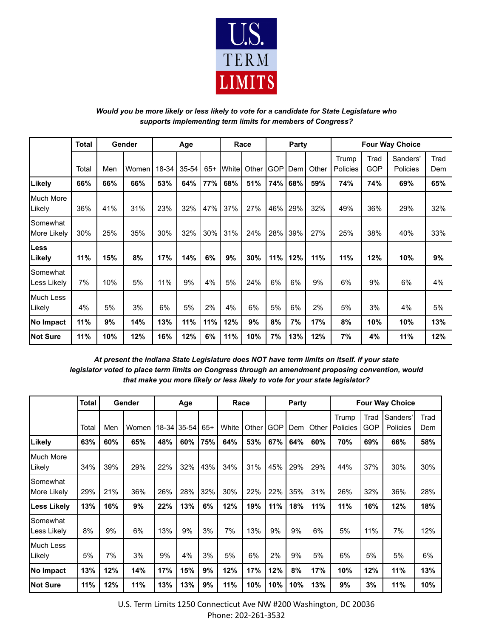

## *Would you be more likely or less likely to vote for a candidate for State Legislature who supports implementing term limits for members of Congress?*

|                                | <b>Total</b> | Gender |         | Age   |       |       | Race  |       | Party |     |       | <b>Four Way Choice</b> |             |                      |             |
|--------------------------------|--------------|--------|---------|-------|-------|-------|-------|-------|-------|-----|-------|------------------------|-------------|----------------------|-------------|
|                                | Total        | Men    | Women I | 18-34 | 35-54 | $65+$ | White | Other | GOP   | Dem | Other | Trump<br>Policies      | Trad<br>GOP | Sanders'<br>Policies | Trad<br>Dem |
| Likely                         | 66%          | 66%    | 66%     | 53%   | 64%   | 77%   | 68%   | 51%   | 74%   | 68% | 59%   | 74%                    | 74%         | 69%                  | 65%         |
| Much More<br>Likely            | 36%          | 41%    | 31%     | 23%   | 32%   | 47%   | 37%   | 27%   | 46%   | 29% | 32%   | 49%                    | 36%         | 29%                  | 32%         |
| Somewhat<br><b>More Likely</b> | 30%          | 25%    | 35%     | 30%   | 32%   | 30%   | 31%   | 24%   | 28%   | 39% | 27%   | 25%                    | 38%         | 40%                  | 33%         |
| Less<br>Likely                 | 11%          | 15%    | 8%      | 17%   | 14%   | 6%    | 9%    | 30%   | 11%   | 12% | 11%   | 11%                    | 12%         | 10%                  | 9%          |
| Somewhat<br>Less Likely        | 7%           | 10%    | 5%      | 11%   | 9%    | 4%    | 5%    | 24%   | 6%    | 6%  | 9%    | 6%                     | 9%          | 6%                   | 4%          |
| Much Less<br>Likely            | 4%           | 5%     | 3%      | 6%    | 5%    | 2%    | 4%    | 6%    | 5%    | 6%  | 2%    | 5%                     | 3%          | 4%                   | 5%          |
| No Impact                      | 11%          | 9%     | 14%     | 13%   | 11%   | 11%   | 12%   | 9%    | 8%    | 7%  | 17%   | 8%                     | 10%         | 10%                  | 13%         |
| <b>Not Sure</b>                | 11%          | 10%    | 12%     | 16%   | 12%   | 6%    | 11%   | 10%   | 7%    | 13% | 12%   | 7%                     | 4%          | 11%                  | 12%         |

*At present the Indiana State Legislature does NOT have term limits on itself. If your state legislator voted to place term limits on Congress through an amendment proposing convention, would that make you more likely or less likely to vote for your state legislator?*

|                         | <b>Total</b> | Gender |       | Age |             |       | Race  |       | Party      |     |       | <b>Four Way Choice</b> |                    |                      |             |
|-------------------------|--------------|--------|-------|-----|-------------|-------|-------|-------|------------|-----|-------|------------------------|--------------------|----------------------|-------------|
|                         | Total        | Men    | Women |     | 18-34 35-54 | $65+$ | White | Other | <b>GOP</b> | Dem | Other | Trump<br>Policies      | Trad<br><b>GOP</b> | Sanders'<br>Policies | Trad<br>Dem |
| Likely                  | 63%          | 60%    | 65%   | 48% | 60%         | 75%   | 64%   | 53%   | 67%        | 64% | 60%   | 70%                    | 69%                | 66%                  | 58%         |
| Much More<br>Likely     | 34%          | 39%    | 29%   | 22% | 32%         | 43%   | 34%   | 31%   | 45%        | 29% | 29%   | 44%                    | 37%                | 30%                  | 30%         |
| Somewhat<br>More Likely | 29%          | 21%    | 36%   | 26% | 28%         | 32%   | 30%   | 22%   | 22%        | 35% | 31%   | 26%                    | 32%                | 36%                  | 28%         |
| Less Likely             | 13%          | 16%    | 9%    | 22% | 13%         | 6%    | 12%   | 19%   | 11%        | 18% | 11%   | 11%                    | 16%                | 12%                  | 18%         |
| Somewhat<br>Less Likely | 8%           | 9%     | 6%    | 13% | 9%          | 3%    | 7%    | 13%   | 9%         | 9%  | 6%    | 5%                     | 11%                | 7%                   | 12%         |
| Much Less<br>Likely     | 5%           | 7%     | 3%    | 9%  | 4%          | 3%    | 5%    | 6%    | 2%         | 9%  | 5%    | 6%                     | 5%                 | 5%                   | 6%          |
| No Impact               | 13%          | 12%    | 14%   | 17% | 15%         | 9%    | 12%   | 17%   | 12%        | 8%  | 17%   | 10%                    | 12%                | 11%                  | 13%         |
| <b>Not Sure</b>         | 11%          | 12%    | 11%   | 13% | 13%         | 9%    | 11%   | 10%   | 10%        | 10% | 13%   | 9%                     | 3%                 | 11%                  | 10%         |